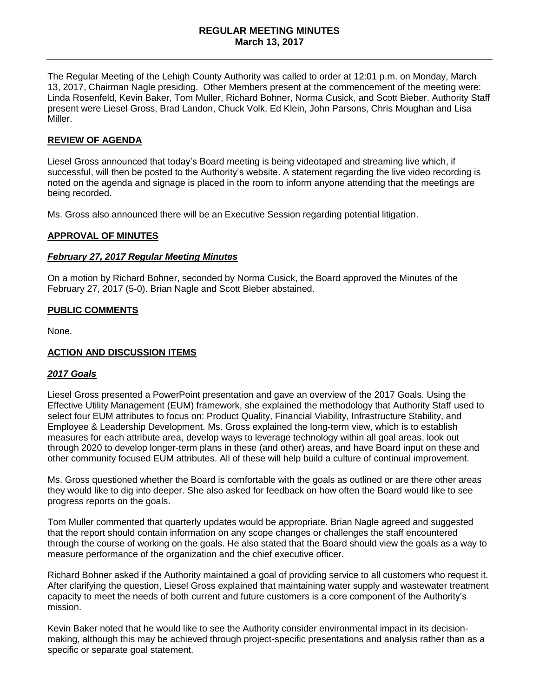The Regular Meeting of the Lehigh County Authority was called to order at 12:01 p.m. on Monday, March 13, 2017, Chairman Nagle presiding. Other Members present at the commencement of the meeting were: Linda Rosenfeld, Kevin Baker, Tom Muller, Richard Bohner, Norma Cusick, and Scott Bieber. Authority Staff present were Liesel Gross, Brad Landon, Chuck Volk, Ed Klein, John Parsons, Chris Moughan and Lisa Miller.

# **REVIEW OF AGENDA**

Liesel Gross announced that today's Board meeting is being videotaped and streaming live which, if successful, will then be posted to the Authority's website. A statement regarding the live video recording is noted on the agenda and signage is placed in the room to inform anyone attending that the meetings are being recorded.

Ms. Gross also announced there will be an Executive Session regarding potential litigation.

## **APPROVAL OF MINUTES**

#### *February 27, 2017 Regular Meeting Minutes*

On a motion by Richard Bohner, seconded by Norma Cusick, the Board approved the Minutes of the February 27, 2017 (5-0). Brian Nagle and Scott Bieber abstained.

## **PUBLIC COMMENTS**

None.

## **ACTION AND DISCUSSION ITEMS**

#### *2017 Goals*

Liesel Gross presented a PowerPoint presentation and gave an overview of the 2017 Goals. Using the Effective Utility Management (EUM) framework, she explained the methodology that Authority Staff used to select four EUM attributes to focus on: Product Quality, Financial Viability, Infrastructure Stability, and Employee & Leadership Development. Ms. Gross explained the long-term view, which is to establish measures for each attribute area, develop ways to leverage technology within all goal areas, look out through 2020 to develop longer-term plans in these (and other) areas, and have Board input on these and other community focused EUM attributes. All of these will help build a culture of continual improvement.

Ms. Gross questioned whether the Board is comfortable with the goals as outlined or are there other areas they would like to dig into deeper. She also asked for feedback on how often the Board would like to see progress reports on the goals.

Tom Muller commented that quarterly updates would be appropriate. Brian Nagle agreed and suggested that the report should contain information on any scope changes or challenges the staff encountered through the course of working on the goals. He also stated that the Board should view the goals as a way to measure performance of the organization and the chief executive officer.

Richard Bohner asked if the Authority maintained a goal of providing service to all customers who request it. After clarifying the question, Liesel Gross explained that maintaining water supply and wastewater treatment capacity to meet the needs of both current and future customers is a core component of the Authority's mission.

Kevin Baker noted that he would like to see the Authority consider environmental impact in its decisionmaking, although this may be achieved through project-specific presentations and analysis rather than as a specific or separate goal statement.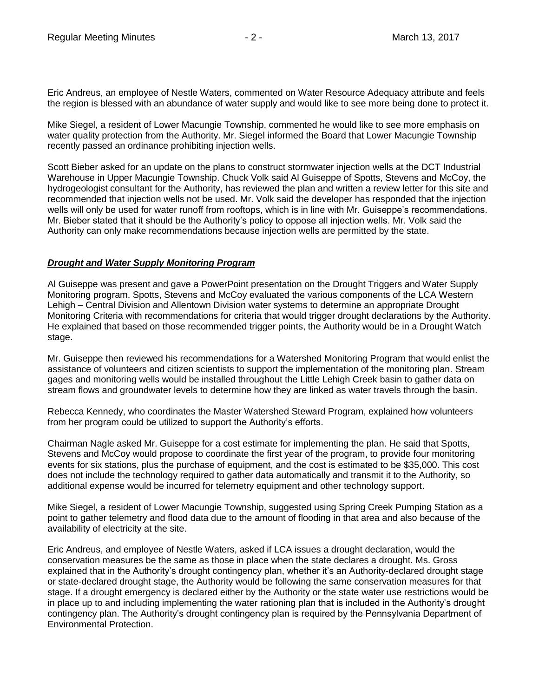Eric Andreus, an employee of Nestle Waters, commented on Water Resource Adequacy attribute and feels the region is blessed with an abundance of water supply and would like to see more being done to protect it.

Mike Siegel, a resident of Lower Macungie Township, commented he would like to see more emphasis on water quality protection from the Authority. Mr. Siegel informed the Board that Lower Macungie Township recently passed an ordinance prohibiting injection wells.

Scott Bieber asked for an update on the plans to construct stormwater injection wells at the DCT Industrial Warehouse in Upper Macungie Township. Chuck Volk said Al Guiseppe of Spotts, Stevens and McCoy, the hydrogeologist consultant for the Authority, has reviewed the plan and written a review letter for this site and recommended that injection wells not be used. Mr. Volk said the developer has responded that the injection wells will only be used for water runoff from rooftops, which is in line with Mr. Guiseppe's recommendations. Mr. Bieber stated that it should be the Authority's policy to oppose all injection wells. Mr. Volk said the Authority can only make recommendations because injection wells are permitted by the state.

## *Drought and Water Supply Monitoring Program*

Al Guiseppe was present and gave a PowerPoint presentation on the Drought Triggers and Water Supply Monitoring program. Spotts, Stevens and McCoy evaluated the various components of the LCA Western Lehigh – Central Division and Allentown Division water systems to determine an appropriate Drought Monitoring Criteria with recommendations for criteria that would trigger drought declarations by the Authority. He explained that based on those recommended trigger points, the Authority would be in a Drought Watch stage.

Mr. Guiseppe then reviewed his recommendations for a Watershed Monitoring Program that would enlist the assistance of volunteers and citizen scientists to support the implementation of the monitoring plan. Stream gages and monitoring wells would be installed throughout the Little Lehigh Creek basin to gather data on stream flows and groundwater levels to determine how they are linked as water travels through the basin.

Rebecca Kennedy, who coordinates the Master Watershed Steward Program, explained how volunteers from her program could be utilized to support the Authority's efforts.

Chairman Nagle asked Mr. Guiseppe for a cost estimate for implementing the plan. He said that Spotts, Stevens and McCoy would propose to coordinate the first year of the program, to provide four monitoring events for six stations, plus the purchase of equipment, and the cost is estimated to be \$35,000. This cost does not include the technology required to gather data automatically and transmit it to the Authority, so additional expense would be incurred for telemetry equipment and other technology support.

Mike Siegel, a resident of Lower Macungie Township, suggested using Spring Creek Pumping Station as a point to gather telemetry and flood data due to the amount of flooding in that area and also because of the availability of electricity at the site.

Eric Andreus, and employee of Nestle Waters, asked if LCA issues a drought declaration, would the conservation measures be the same as those in place when the state declares a drought. Ms. Gross explained that in the Authority's drought contingency plan, whether it's an Authority-declared drought stage or state-declared drought stage, the Authority would be following the same conservation measures for that stage. If a drought emergency is declared either by the Authority or the state water use restrictions would be in place up to and including implementing the water rationing plan that is included in the Authority's drought contingency plan. The Authority's drought contingency plan is required by the Pennsylvania Department of Environmental Protection.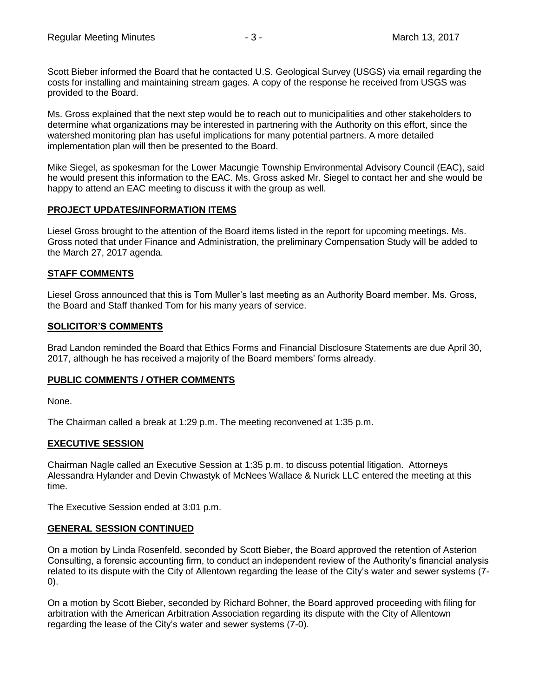Scott Bieber informed the Board that he contacted U.S. Geological Survey (USGS) via email regarding the costs for installing and maintaining stream gages. A copy of the response he received from USGS was provided to the Board.

Ms. Gross explained that the next step would be to reach out to municipalities and other stakeholders to determine what organizations may be interested in partnering with the Authority on this effort, since the watershed monitoring plan has useful implications for many potential partners. A more detailed implementation plan will then be presented to the Board.

Mike Siegel, as spokesman for the Lower Macungie Township Environmental Advisory Council (EAC), said he would present this information to the EAC. Ms. Gross asked Mr. Siegel to contact her and she would be happy to attend an EAC meeting to discuss it with the group as well.

## **PROJECT UPDATES/INFORMATION ITEMS**

Liesel Gross brought to the attention of the Board items listed in the report for upcoming meetings. Ms. Gross noted that under Finance and Administration, the preliminary Compensation Study will be added to the March 27, 2017 agenda.

## **STAFF COMMENTS**

Liesel Gross announced that this is Tom Muller's last meeting as an Authority Board member. Ms. Gross, the Board and Staff thanked Tom for his many years of service.

## **SOLICITOR'S COMMENTS**

Brad Landon reminded the Board that Ethics Forms and Financial Disclosure Statements are due April 30, 2017, although he has received a majority of the Board members' forms already.

## **PUBLIC COMMENTS / OTHER COMMENTS**

None.

The Chairman called a break at 1:29 p.m. The meeting reconvened at 1:35 p.m.

## **EXECUTIVE SESSION**

Chairman Nagle called an Executive Session at 1:35 p.m. to discuss potential litigation. Attorneys Alessandra Hylander and Devin Chwastyk of McNees Wallace & Nurick LLC entered the meeting at this time.

The Executive Session ended at 3:01 p.m.

## **GENERAL SESSION CONTINUED**

On a motion by Linda Rosenfeld, seconded by Scott Bieber, the Board approved the retention of Asterion Consulting, a forensic accounting firm, to conduct an independent review of the Authority's financial analysis related to its dispute with the City of Allentown regarding the lease of the City's water and sewer systems (7- 0).

On a motion by Scott Bieber, seconded by Richard Bohner, the Board approved proceeding with filing for arbitration with the American Arbitration Association regarding its dispute with the City of Allentown regarding the lease of the City's water and sewer systems (7-0).